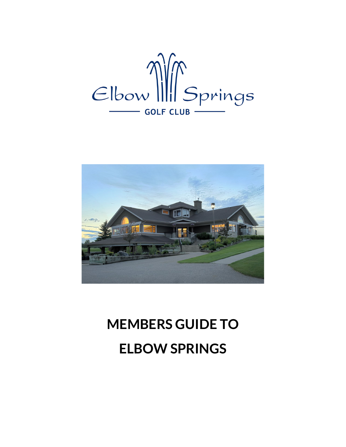



# **MEMBERS GUIDE TO ELBOW SPRINGS**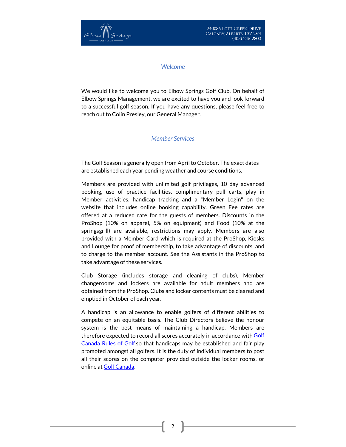240086 LOTT CREEK DRIVE CALGARY, ALBERTA T3Z 2V4 (403) 246-2800

*Welcome*

We would like to welcome you to Elbow Springs Golf Club. On behalf of Elbow Springs Management, we are excited to have you and look forward to a successful golf season. If you have any questions, please feel free to reach out to Colin Presley, our General Manager.

*Member Services*

The Golf Season is generally open from April to October. The exact dates are established each year pending weather and course conditions.

Members are provided with unlimited golf privileges, 10 day advanced booking, use of practice facilities, complimentary pull carts, play in Member activities, handicap tracking and a "Member Login" on the website that includes online booking capability. Green Fee rates are offered at a reduced rate for the guests of members. Discounts in the ProShop (10% on apparel, 5% on equipment) and Food (10% at the springsgrill) are available, restrictions may apply. Members are also provided with a Member Card which is required at the ProShop, Kiosks and Lounge for proof of membership, to take advantage of discounts, and to charge to the member account. See the Assistants in the ProShop to take advantage of these services.

Club Storage (includes storage and cleaning of clubs), Member changerooms and lockers are available for adult members and are obtained from the ProShop. Clubs and locker contents must be cleared and emptied in October of each year.

A handicap is an allowance to enable golfers of different abilities to compete on an equitable basis. The Club Directors believe the honour system is the best means of maintaining a handicap. Members are therefore expected to record all scores accurately in accordance with Golf [Canada Rules of Golf](http://golfcanada.ca/rules-of-golf/) so that handicaps may be established and fair play promoted amongst all golfers. It is the duty of individual members to post all their scores on the computer provided outside the locker rooms, or online at [Golf Canada.](https://scg.golfcanada.ca/login)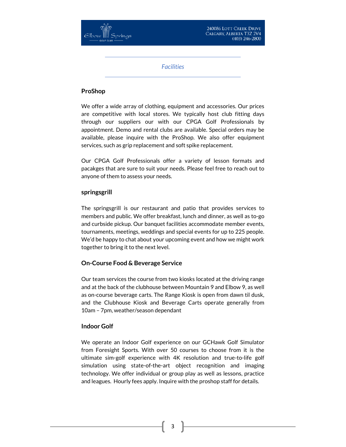

*Facilities*

### **ProShop**

We offer a wide array of clothing, equipment and accessories. Our prices are competitive with local stores. We typically host club fitting days through our suppliers our with our CPGA Golf Professionals by appointment. Demo and rental clubs are available. Special orders may be available, please inquire with the ProShop. We also offer equipment services, such as grip replacement and soft spike replacement.

Our CPGA Golf Professionals offer a variety of lesson formats and pacakges that are sure to suit your needs. Please feel free to reach out to anyone of them to assess your needs.

#### **springsgrill**

The springsgrill is our restaurant and patio that provides services to members and public. We offer breakfast, lunch and dinner, as well as to-go and curbside pickup. Our banquet facilities accommodate member events, tournaments, meetings, weddings and special events for up to 225 people. We'd be happy to chat about your upcoming event and how we might work together to bring it to the next level.

# **On-Course Food & Beverage Service**

Our team services the course from two kiosks located at the driving range and at the back of the clubhouse between Mountain 9 and Elbow 9, as well as on-course beverage carts. The Range Kiosk is open from dawn til dusk, and the Clubhouse Kiosk and Beverage Carts operate generally from 10am – 7pm, weather/season dependant

#### **Indoor Golf**

We operate an Indoor Golf experience on our GCHawk Golf Simulator from Foresight Sports. With over 50 courses to choose from it is the ultimate sim-golf experience with 4K resolution and true-to-life golf simulation using state-of-the-art object recognition and imaging technology. We offer individual or group play as well as lessons, practice and leagues. Hourly fees apply. Inquire with the proshop staff for details.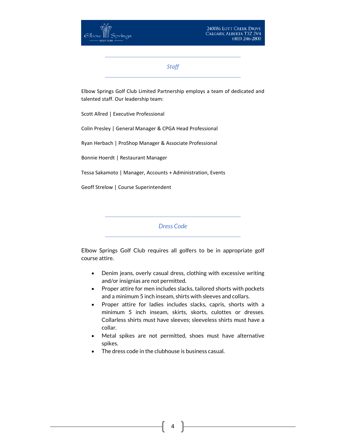*Staff*

Elbow Springs Golf Club Limited Partnership employs a team of dedicated and talented staff. Our leadership team:

Scott Allred | Executive Professional

Colin Presley | General Manager & CPGA Head Professional

Ryan Herbach | ProShop Manager & Associate Professional

Bonnie Hoerdt | Restaurant Manager

Tessa Sakamoto | Manager, Accounts + Administration, Events

Geoff Strelow | Course Superintendent

*Dress Code*

Elbow Springs Golf Club requires all golfers to be in appropriate golf course attire.

- Denim jeans, overly casual dress, clothing with excessive writing and/or insignias are not permitted.
- Proper attire for men includes slacks, tailored shorts with pockets and a minimum 5 inch inseam, shirts with sleeves and collars.
- Proper attire for ladies includes slacks, capris, shorts with a minimum 5 inch inseam, skirts, skorts, culottes or dresses. Collarless shirts must have sleeves; sleeveless shirts must have a collar.
- Metal spikes are not permitted, shoes must have alternative spikes.
- The dress code in the clubhouse is business casual.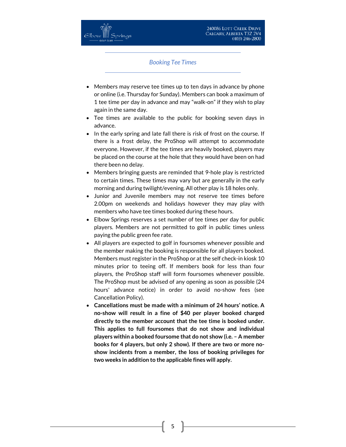#### *Booking Tee Times*

- Members may reserve tee times up to ten days in advance by phone or online (i.e. Thursday for Sunday). Members can book a maximum of 1 tee time per day in advance and may "walk-on" if they wish to play again in the same day.
- Tee times are available to the public for booking seven days in advance.
- In the early spring and late fall there is risk of frost on the course. If there is a frost delay, the ProShop will attempt to accommodate everyone. However, if the tee times are heavily booked, players may be placed on the course at the hole that they would have been on had there been no delay.
- Members bringing guests are reminded that 9-hole play is restricted to certain times. These times may vary but are generally in the early morning and during twilight/evening. All other play is 18 holes only.
- Junior and Juvenile members may not reserve tee times before 2.00pm on weekends and holidays however they may play with members who have tee times booked during these hours.
- Elbow Springs reserves a set number of tee times per day for public players. Members are not permitted to golf in public times unless paying the public green fee rate.
- All players are expected to golf in foursomes whenever possible and the member making the booking is responsible for all players booked. Members must register in the ProShop or at the self check-in kiosk 10 minutes prior to teeing off. If members book for less than four players, the ProShop staff will form foursomes whenever possible. The ProShop must be advised of any opening as soon as possible (24 hours' advance notice) in order to avoid no-show fees (see Cancellation Policy).
- **Cancellations must be made with a minimum of 24 hours' notice. A no-show will result in a fine of \$40 per player booked charged directly to the member account that the tee time is booked under. This applies to full foursomes that do not show and individual players within a booked foursome that do not show (i.e. – A member books for 4 players, but only 2 show). If there are two or more noshow incidents from a member, the loss of booking privileges for two weeks in addition to the applicable fines will apply.**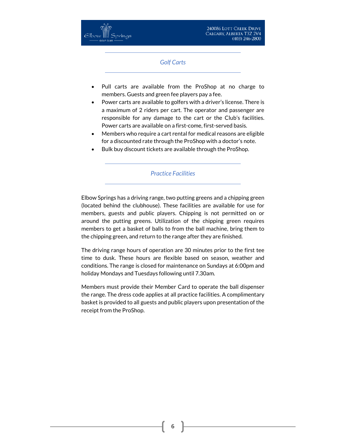# *Golf Carts*

- Pull carts are available from the ProShop at no charge to members. Guests and green fee players pay a fee.
- Power carts are available to golfers with a driver's license. There is a maximum of 2 riders per cart. The operator and passenger are responsible for any damage to the cart or the Club's facilities. Power carts are available on a first-come, first-served basis.
- Members who require a cart rental for medical reasons are eligible for a discounted rate through the ProShop with a doctor's note.
- Bulk buy discount tickets are available through the ProShop.

# *Practice Facilities*

Elbow Springs has a driving range, two putting greens and a chipping green (located behind the clubhouse). These facilities are available for use for members, guests and public players. Chipping is not permitted on or around the putting greens. Utilization of the chipping green requires members to get a basket of balls to from the ball machine, bring them to the chipping green, and return to the range after they are finished.

The driving range hours of operation are 30 minutes prior to the first tee time to dusk. These hours are flexible based on season, weather and conditions. The range is closed for maintenance on Sundays at 6:00pm and holiday Mondays and Tuesdays following until 7.30am.

Members must provide their Member Card to operate the ball dispenser the range. The dress code applies at all practice facilities. A complimentary basket is provided to all guests and public players upon presentation of the receipt from the ProShop.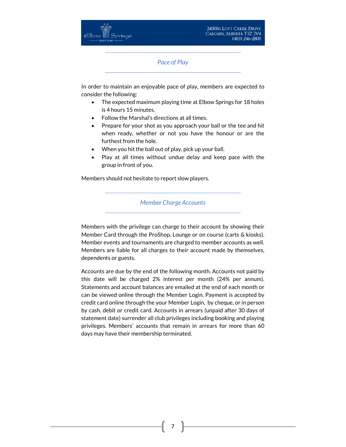*Pace of Play*

In order to maintain an enjoyable pace of play, members are expected to consider the following:

- The expected maximum playing time at Elbow Springs for 18 holes is 4 hours 15 minutes.
- Follow the Marshal's directions at all times.
- Prepare for your shot as you approach your ball or the tee and hit when ready, whether or not you have the honour or are the furthest from the hole.
- When you hit the ball out of play, pick up your ball.
- Play at all times without undue delay and keep pace with the group in front of you.

Members should not hesitate to report slow players.

#### *Member Charge Accounts*

Members with the privilege can charge to their account by showing their Member Card through the ProShop, Lounge or on course (carts & kiosks). Member events and tournaments are charged to member accounts as well. Members are liable for all charges to their account made by themselves, dependents or guests.

Accounts are due by the end of the following month. Accounts not paid by this date will be charged 2% interest per month (24% per annum). Statements and account balances are emailed at the end of each month or can be viewed online through the Member Login. Payment is accepted by credit card online through the your Member Login, by cheque, or in person by cash, debit or credit card. Accounts in arrears (unpaid after 30 days of statement date) surrender all club privileges including booking and playing privileges. Members' accounts that remain in arrears for more than 60 days may have their membership terminated.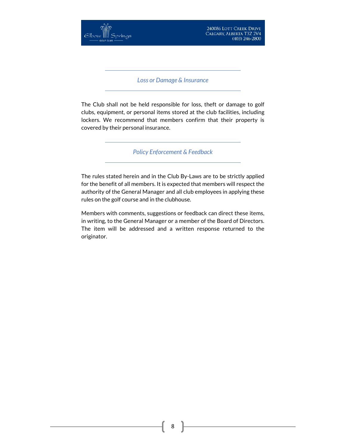

*Loss or Damage & Insurance*

The Club shall not be held responsible for loss, theft or damage to golf clubs, equipment, or personal items stored at the club facilities, including lockers. We recommend that members confirm that their property is covered by their personal insurance.

*Policy Enforcement & Feedback*

The rules stated herein and in the Club By-Laws are to be strictly applied for the benefit of all members. It is expected that members will respect the authority of the General Manager and all club employees in applying these rules on the golf course and in the clubhouse.

Members with comments, suggestions or feedback can direct these items, in writing, to the General Manager or a member of the Board of Directors. The item will be addressed and a written response returned to the originator.